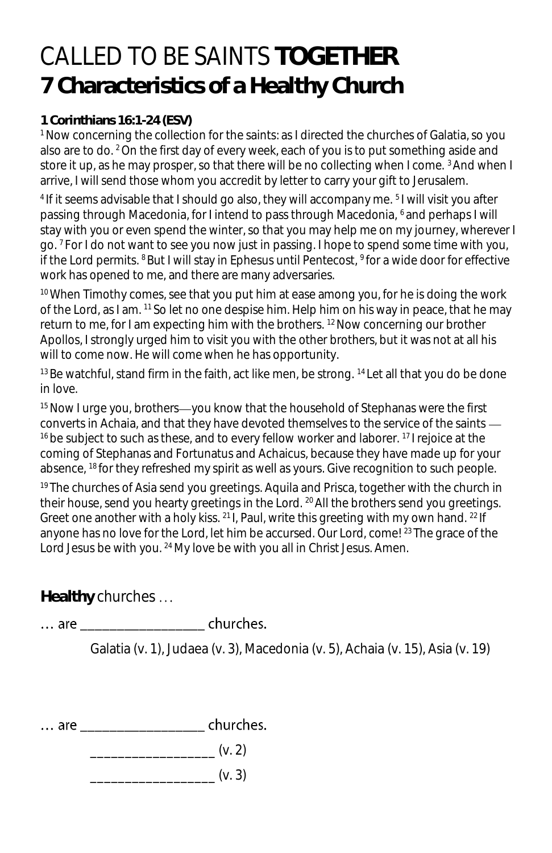## CALLED TO BE SAINTS **TOGETHER 7 Characteristics of a Healthy Church**

## **1 Corinthians 16:1-24 (ESV)**

<sup>1</sup> Now concerning the collection for the saints: as I directed the churches of Galatia, so you also are to do. <sup>2</sup>On the first day of every week, each of you is to put something aside and store it up, as he may prosper, so that there will be no collecting when I come. 3 And when I arrive, I will send those whom you accredit by letter to carry your gift to Jerusalem.

<sup>4</sup> If it seems advisable that I should go also, they will accompany me. <sup>5</sup>I will visit you after passing through Macedonia, for I intend to pass through Macedonia, <sup>6</sup> and perhaps I will stay with you or even spend the winter, so that you may help me on my journey, wherever I go. <sup>7</sup> For I do not want to see you now just in passing. I hope to spend some time with you, if the Lord permits.  $8$ But I will stay in Ephesus until Pentecost,  $9$  for a wide door for effective work has opened to me, and there are many adversaries.

 $10$  When Timothy comes, see that you put him at ease among you, for he is doing the work of the Lord, as I am. <sup>11</sup> So let no one despise him. Help him on his way in peace, that he may return to me, for I am expecting him with the brothers. <sup>12</sup> Now concerning our brother Apollos, I strongly urged him to visit you with the other brothers, but it was not at all his will to come now. He will come when he has opportunity.

 $13$ Be watchful, stand firm in the faith, act like men, be strong.  $14$  Let all that you do be done in love.

 $15$  Now I urge you, brothers—you know that the household of Stephanas were the first converts in Achaia, and that they have devoted themselves to the service of the saints <sup>16</sup> be subject to such as these, and to every fellow worker and laborer. <sup>17</sup> I rejoice at the coming of Stephanas and Fortunatus and Achaicus, because they have made up for your absence, <sup>18</sup>for they refreshed my spirit as well as yours. Give recognition to such people.

<sup>19</sup> The churches of Asia send you greetings. Aquila and Prisca, together with the church in their house, send you hearty greetings in the Lord. <sup>20</sup>All the brothers send you greetings. Greet one another with a holy kiss. <sup>21</sup>I, Paul, write this greeting with my own hand. <sup>22</sup> If anyone has no love for the Lord, let him be accursed. Our Lord, come! <sup>23</sup> The grace of the Lord Jesus be with you. <sup>24</sup> My love be with you all in Christ Jesus. Amen.

**Healthy** churches

**Example 1** churches.  $\ldots$  are and a set of  $\alpha$ 

Galatia (v. 1), Judaea (v. 3), Macedonia (v. 5), Achaia (v. 15), Asia (v. 19)

... are \_\_\_\_\_\_\_\_\_\_\_\_\_\_\_\_\_\_\_\_\_\_ churches.

 $\frac{1}{2}$  (v. 2)

 $\frac{1}{2}$  (v. 3)